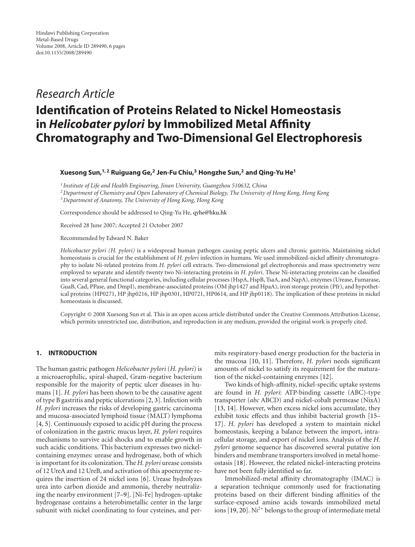# *Research Article*

# **Identification of Proteins Related to Nickel Homeostasis in** *Helicobater pylori* **by Immobilized Metal Affinity Chromatography and Two-Dimensional Gel Electrophoresis**

# **Xuesong Sun,1, 2 Ruiguang Ge,2 Jen-Fu Chiu,3 Hongzhe Sun,2 and Qing-Yu He1**

*<sup>1</sup> Institute of Life and Health Engineering, Jinan University, Guangzhou 510632, China*

*2Department of Chemistry and Open Laboratory of Chemical Biology, The University of Hong Kong, Hong Kong*

*3Department of Anatomy, The University of Hong Kong, Hong Kong*

Correspondence should be addressed to Qing-Yu He, [qyhe@hku.hk](mailto:qyhe@hku.hk)

Received 28 June 2007; Accepted 21 October 2007

Recommended by Edward N. Baker

*Helicobacter pylori (H. pylori)* is a widespread human pathogen causing peptic ulcers and chronic gastritis. Maintaining nickel homeostasis is crucial for the establishment of *H. pylori* infection in humans. We used immobilized-nickel affinity chromatography to isolate Ni-related proteins from *H. pylori* cell extracts. Two-dimensional gel electrophoresis and mass spectrometry were employed to separate and identify twenty two Ni-interacting proteins in *H. pylori*. These Ni-interacting proteins can be classified into several general functional categories, including cellular processes (HspA, HspB, TsaA, and NapA), enzymes (Urease, Fumarase, GuaB, Cad, PPase, and DmpI), membrane-associated proteins (OM jhp1427 and HpaA), iron storage protein (Pfr), and hypothetical proteins (HP0271, HP jhp0216, HP jhp0301, HP0721, HP0614, and HP jhp0118). The implication of these proteins in nickel homeostasis is discussed.

Copyright © 2008 Xuesong Sun et al. This is an open access article distributed under the Creative Commons Attribution License, which permits unrestricted use, distribution, and reproduction in any medium, provided the original work is properly cited.

# **1. INTRODUCTION**

The human gastric pathogen *Helicobacter pylori* (*H. pylori*) is a microaerophilic, spiral-shaped, Gram-negative bacterium responsible for the majority of peptic ulcer diseases in humans [\[1](#page-4-1)]. *H. pylori* has been shown to be the causative agent of type B gastritis and peptic ulcerations [\[2](#page-4-2), [3](#page-4-3)]. Infection with *H. pylori* increases the risks of developing gastric carcinoma and mucosa-associated lymphoid tissue (MALT) lymphoma [\[4,](#page-4-4) [5\]](#page-4-5). Continuously exposed to acidic pH during the process of colonization in the gastric mucus layer, *H. pylori* requires mechanisms to survive acid shocks and to enable growth in such acidic conditions. This bacterium expresses two nickelcontaining enzymes: urease and hydrogenase, both of which is important for its colonization. The *H. pylori* urease consists of 12 UreA and 12 UreB, and activation of this apoenzyme requires the insertion of 24 nickel ions [\[6\]](#page-4-6). Urease hydrolyzes urea into carbon dioxide and ammonia, thereby neutralizing the nearby environment [\[7](#page-4-7)[–9](#page-4-8)]. [Ni-Fe] hydrogen-uptake hydrogenase contains a heterobimetallic center in the large subunit with nickel coordinating to four cysteines, and permits respiratory-based energy production for the bacteria in the mucosa [\[10,](#page-4-9) [11\]](#page-4-10). Therefore, *H. pylori* needs significant amounts of nickel to satisfy its requirement for the maturation of the nickel-containing enzymes [\[12\]](#page-4-11).

Two kinds of high-affinity, nickel-specific uptake systems are found in *H. pylori*: ATP-binding cassette (ABC)-type transporter (*abc* ABCD) and nickel-cobalt permease (NixA) [\[13](#page-4-12), [14\]](#page-4-13). However, when excess nickel ions accumulate, they exhibit toxic effects and thus inhibit bacterial growth [\[15](#page-4-14)– [17\]](#page-4-15). *H. pylori* has developed a system to maintain nickel homeostasis, keeping a balance between the import, intracellular storage, and export of nickel ions. Analysis of the *H. pylori* genome sequence has discovered several putative ion binders and membrane transporters involved in metal homeostasis [\[18\]](#page-5-0). However, the related nickel-interacting proteins have not been fully identified so far.

Immobilized-metal affinity chromatography (IMAC) is a separation technique commonly used for fractionating proteins based on their different binding affinities of the surface-exposed amino acids towards immobilized metal ions  $[19, 20]$  $[19, 20]$  $[19, 20]$ . Ni<sup>2+</sup> belongs to the group of intermediate metal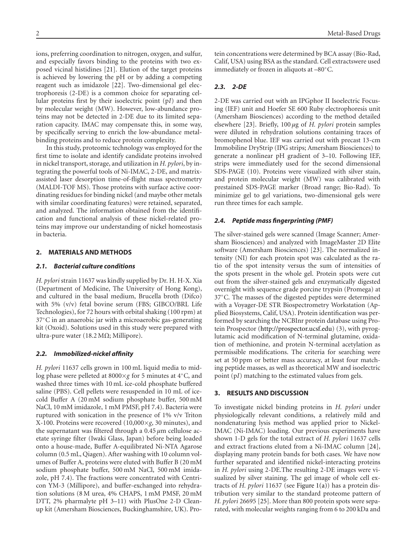ions, preferring coordination to nitrogen, oxygen, and sulfur, and especially favors binding to the proteins with two exposed vicinal histidines [\[21\]](#page-5-3). Elution of the target proteins is achieved by lowering the pH or by adding a competing reagent such as imidazole [\[22\]](#page-5-4). Two-dimensional gel electrophoresis (2-DE) is a common choice for separating cellular proteins first by their isoelectric point (p*I*) and then by molecular weight (MW). However, low-abundance proteins may not be detected in 2-DE due to its limited separation capacity. IMAC may compensate this, in some way, by specifically serving to enrich the low-abundance metalbinding proteins and to reduce protein complexity.

In this study, proteomic technology was employed for the first time to isolate and identify candidate proteins involved in nickel transport, storage, and utilization in *H. pylori*, by integrating the powerful tools of Ni-IMAC, 2-DE, and matrixassisted laser desorption time-of-flight mass spectrometry (MALDI-TOF MS). Those proteins with surface active coordinating residues for binding nickel (and maybe other metals with similar coordinating features) were retained, separated, and analyzed. The information obtained from the identification and functional analysis of these nickel-related proteins may improve our understanding of nickel homeostasis in bacteria.

# **2. MATERIALS AND METHODS**

## *2.1. Bacterial culture conditions*

*H. pylori* strain 11637 was kindly supplied by Dr. H. H-X. Xia (Department of Medicine, The University of Hong Kong), and cultured in the basal medium, Brucella broth (Difco) with 5% (v/v) fetal bovine serum (FBS; GIBCO/BRL Life Technologies), for 72 hours with orbital shaking (100 rpm) at 37◦C in an anaerobic jar with a microaerobic gas-generating kit (Oxoid). Solutions used in this study were prepared with ultra-pure water (18.2 M $\Omega$ ; Millipore).

# *2.2. Immobilized-nickel affinity*

*H. pylori* 11637 cells grown in 100 mL liquid media to midlog phase were pelleted at 8000×*g* for 5 minutes at 4◦C, and washed three times with 10 mL ice-cold phosphate buffered saline (PBS). Cell pellets were resuspended in 10 mL of icecold Buffer A (20 mM sodium phosphate buffer, 500 mM NaCl, 10 mM imidazole, 1 mM PMSF, pH 7.4). Bacteria were ruptured with sonication in the presence of 1% v/v Triton X-100. Proteins were recovered (10,000×*g*, 30 minutes), and the supernatant was filtered through a 0.45 *μ*m cellulose acetate syringe filter (Iwaki Glass, Japan) before being loaded onto a house-made, Buffer A-equilibrated Ni-NTA Agarose column (0.5 mL, Qiagen). After washing with 10 column volumes of Buffer A, proteins were eluted with Buffer B (20 mM sodium phosphate buffer, 500 mM NaCl, 500 mM imidazole, pH 7.4). The fractions were concentrated with Centricon YM-3 (Millipore), and buffer-exchanged into rehydration solutions (8 M urea, 4% CHAPS, 1 mM PMSF, 20 mM DTT, 2% pharmalyte pH 3–11) with PlusOne 2-D Cleanup kit (Amersham Biosciences, Buckinghamshire, UK). Protein concentrations were determined by BCA assay (Bio-Rad, Calif, USA) using BSA as the standard. Cell extractswere used immediately or frozen in aliquots at –80◦C.

# *2.3. 2-DE*

2-DE was carried out with an IPGphor II Isoelectric Focusing (IEF) unit and Hoefer SE 600 Ruby electrophoresis unit (Amersham Biosciences) according to the method detailed elsewhere [\[23](#page-5-5)]. Briefly, 100 *μ*g of *H. pylori* protein samples were diluted in rehydration solutions containing traces of bromophenol blue. IEF was carried out with precast 13-cm Immobiline DryStrip (IPG strips; Amersham Biosciences) to generate a nonlinear pH gradient of 3–10. Following IEF, strips were immediately used for the second dimensional SDS-PAGE (10). Proteins were visualized with silver stain, and protein molecular weight (MW) was calibrated with prestained SDS-PAGE marker (Broad range; Bio-Rad). To minimize gel to gel variations, two-dimensional gels were run three times for each sample.

# *2.4. Peptide mass fingerprinting (PMF)*

The silver-stained gels were scanned (Image Scanner; Amersham Biosciences) and analyzed with ImageMaster 2D Elite software (Amersham Biosciences) [\[23](#page-5-5)]. The normalized intensity (NI) for each protein spot was calculated as the ratio of the spot intensity versus the sum of intensities of the spots present in the whole gel. Protein spots were cut out from the silver-stained gels and enzymatically digested overnight with sequence grade porcine trypsin (Promega) at 37◦C. The masses of the digested peptides were determined with a Voyager-DE STR Biospectrometry Workstation (Applied Biosystems, Calif, USA). Protein identification was performed by searching the NCBInr protein database using Protein Prospector [\(http://prospector.ucsf.edu\)](http://prospector.ucsf.edu) (3), with pyroglutamic acid modification of N-terminal glutamine, oxidation of methionine, and protein N-terminal acetylation as permissible modifications. The criteria for searching were set at 50 ppm or better mass accuracy, at least four matching peptide masses, as well as theoretical MW and isoelectric point (p*I*) matching to the estimated values from gels.

#### **3. RESULTS AND DISCUSSION**

To investigate nickel binding proteins in *H. pylori* under physiologically relevant conditions, a relatively mild and nondenaturing lysis method was applied prior to Nickel-IMAC (Ni-IMAC) loading. Our previous experiments have shown 1-D gels for the total extract of *H. pylori* 11637 cells and extract fractions eluted from a Ni-IMAC column [\[24](#page-5-6)], displaying many protein bands for both cases. We have now further separated and identified nickel-interacting proteins in *H. pylori* using 2-DE.The resulting 2-DE images were visualized by silver staining. The gel image of whole cell extracts of *H. pylori* 11637 (see [Figure 1\(a\)\)](#page-2-0) has a protein distribution very similar to the standard proteome pattern of *H. pylori* 26695 [\[25\]](#page-5-7). More than 800 protein spots were separated, with molecular weights ranging from 6 to 200 kDa and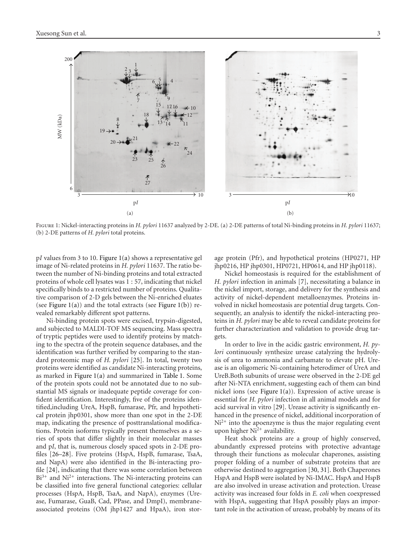<span id="page-2-0"></span>

Figure 1: Nickel-interacting proteins in *H. pylori* 11637 analyzed by 2-DE. (a) 2-DE patterns of total Ni-binding proteins in *H. pylori* 11637; (b) 2-DE patterns of *H. pylori* total proteins.

p*I* values from 3 to 10. [Figure 1\(a\)](#page-2-0) shows a representative gel image of Ni-related proteins in *H. pylori* 11637. The ratio between the number of Ni-binding proteins and total extracted proteins of whole cell lysates was 1 : 57, indicating that nickel specifically binds to a restricted number of proteins. Qualitative comparison of 2-D gels between the Ni-enriched eluates (see Figure  $1(a)$ ) and the total extracts (see Figure  $1(b)$ ) revealed remarkably different spot patterns.

Ni-binding protein spots were excised, trypsin-digested, and subjected to MALDI-TOF MS sequencing. Mass spectra of tryptic peptides were used to identify proteins by matching to the spectra of the protein sequence databases, and the identification was further verified by comparing to the standard proteomic map of *H. pylori* [\[25](#page-5-7)]. In total, twenty two proteins were identified as candidate Ni-interacting proteins, as marked in [Figure 1\(a\)](#page-2-0) and summarized in [Table 1.](#page-3-0) Some of the protein spots could not be annotated due to no substantial MS signals or inadequate peptide coverage for confident identification. Interestingly, five of the proteins identified,including UreA, HspB, fumarase, Pfr, and hypothetical protein jhp0301, show more than one spot in the 2-DE map, indicating the presence of posttranslational modifications. Protein isoforms typically present themselves as a series of spots that differ slightly in their molecular masses and p*I*, that is, numerous closely spaced spots in 2-DE profiles [\[26](#page-5-8)[–28](#page-5-9)]. Five proteins (HspA, HspB, fumarase, TsaA, and NapA) were also identified in the Bi-interacting profile [\[24\]](#page-5-6), indicating that there was some correlation between  $Bi^{3+}$  and  $Ni^{2+}$  interactions. The Ni-interacting proteins can be classified into five general functional categories: cellular processes (HspA, HspB, TsaA, and NapA), enzymes (Urease, Fumarase, GuaB, Cad, PPase, and DmpI), membraneassociated proteins (OM jhp1427 and HpaA), iron stor-

<span id="page-2-1"></span>age protein (Pfr), and hypothetical proteins (HP0271, HP jhp0216, HP jhp0301, HP0721, HP0614, and HP jhp0118).

Nickel homeostasis is required for the establishment of *H. pylori* infection in animals [\[7\]](#page-4-7), necessitating a balance in the nickel import, storage, and delivery for the synthesis and activity of nickel-dependent metalloenzymes. Proteins involved in nickel homeostasis are potential drug targets. Consequently, an analysis to identify the nickel-interacting proteins in *H. pylori* may be able to reveal candidate proteins for further characterization and validation to provide drug targets.

In order to live in the acidic gastric environment, *H. pylori* continuously synthesize urease catalyzing the hydrolysis of urea to ammonia and carbamate to elevate pH. Urease is an oligomeric Ni-containing heterodimer of UreA and UreB.Both subunits of urease were observed in the 2-DE gel after Ni-NTA enrichment, suggesting each of them can bind nickel ions (see [Figure 1\(a\)\)](#page-2-0). Expression of active urease is essential for *H. pylori* infection in all animal models and for acid survival in vitro [\[29](#page-5-10)]. Urease activity is significantly enhanced in the presence of nickel, additional incorporation of  $Ni<sup>2+</sup>$  into the apoenzyme is thus the major regulating event upon higher  $Ni<sup>2+</sup>$  availability.

Heat shock proteins are a group of highly conserved, abundantly expressed proteins with protective advantage through their functions as molecular chaperones, assisting proper folding of a number of substrate proteins that are otherwise destined to aggregation [\[30,](#page-5-11) [31](#page-5-12)]. Both Chaperones HspA and HspB were isolated by Ni-IMAC. HspA and HspB are also involved in urease activation and protection. Urease activity was increased four folds in *E. coli* when coexpressed with HspA, suggesting that HspA possibly plays an important role in the activation of urease, probably by means of its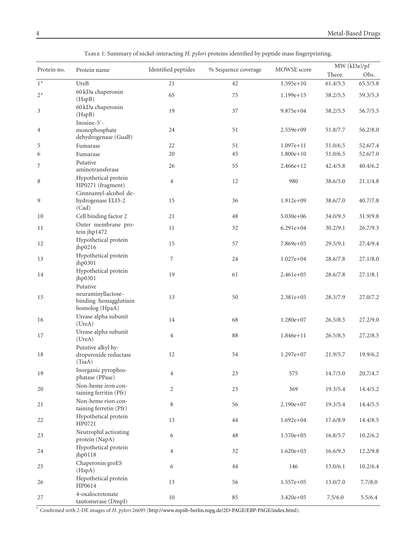| Protein no. | Protein name                                                              | Identified peptides | % Sequence coverage | MOWSE score   |          | MW(kDa)/pI |  |
|-------------|---------------------------------------------------------------------------|---------------------|---------------------|---------------|----------|------------|--|
|             |                                                                           |                     |                     |               | Theor.   | Obs.       |  |
| $1*$        | UreB                                                                      | 21                  | 42                  | $1.595e+10$   | 61.4/5.5 | 65.5/5.8   |  |
| $2*$        | 60 kDa chaperonin<br>(HspB)                                               | 65                  | 75                  | 1.199e+15     | 58.2/5.5 | 59.3/5.3   |  |
| 3           | 60 kDa chaperonin<br>(HspB)                                               | 19                  | 37                  | 9.875e+04     | 58.2/5.5 | 56.7/5.5   |  |
| 4           | Inosine-5'-<br>monophosphate<br>dehydrogenase (GuaB)                      | 24                  | 51                  | $2.559e+09$   | 51.8/7.7 | 56.2/8.0   |  |
| 5           | Fumarase                                                                  | 22                  | 51                  | $1.097e + 11$ | 51.0/6.5 | 52.6/7.4   |  |
| 6           | Fumarase                                                                  | 20                  | 45                  | $1.800e+10$   | 51.0/6.5 | 52.6/7.0   |  |
| 7           | Putative<br>aminotransferase                                              | 26                  | 55                  | 2.466e+12     | 42.4/5.8 | 40.4/6.2   |  |
| 8           | Hypothetical protein<br>HP0271 (fragment)                                 | $\overline{4}$      | 12                  | 980           | 38.6/5.0 | 21.1/4.8   |  |
| 9           | Cinnnamyl-alcohol de-<br>hydrogenase ELI3-2<br>(Cad)                      | 15                  | 36                  | $1.912e+09$   | 38.6/7.0 | 40.7/7.8   |  |
| 10          | Cell binding factor 2                                                     | 21                  | 48                  | $5.030e + 06$ | 34.0/9.3 | 31.9/9.8   |  |
| 11          | Outer membrane pro-<br>tein jhp1472                                       | 11                  | 32                  | 6.291e+04     | 30.2/9.1 | 26.7/9.3   |  |
| 12          | Hypothetical protein<br>jhp0216                                           | 15                  | 57                  | 7.869e+05     | 29.5/9.1 | 27.4/9.4   |  |
| 13          | Hypothetical protein<br>jhp0301                                           | 7                   | 24                  | $1.027e + 04$ | 28.6/7.8 | 27.1/8.0   |  |
| 14          | Hypothetical protein<br>jhp0301                                           | 19                  | 61                  | 2.461e+05     | 28.6/7.8 | 27.1/8.1   |  |
| 15          | Putative<br>neuraminyllactose-<br>binding hemagglutinin<br>homolog (HpaA) | 13                  | 50                  | 2.381e+05     | 28.3/7.9 | 27.0/7.2   |  |
| 16          | Urease alpha subunit<br>(UreA)                                            | 14                  | 68                  | 1.280e+07     | 26.5/8.5 | 27.2/9.0   |  |
| 17          | Urease alpha subunit<br>(UreA)                                            | $\overline{4}$      | 88                  | 1.846e+11     | 26.5/8.5 | 27.2/8.5   |  |
| 18          | Putative alkyl hy-<br>droperoxide reductase<br>(TsaA)                     | 12                  | 54                  | $1.297e+07$   | 21.9/5.7 | 19.9/6.2   |  |
| 19          | Inorganic pyrophos-<br>phatase (PPase)                                    | 4                   | 23                  | 575           | 14.7/5.0 | 20.7/4.7   |  |
| 20          | Non-heme iron con-<br>taining ferritin (Pfr)                              | $\overline{c}$      | 23                  | 369           | 19.3/5.4 | 14.4/5.2   |  |
| 21          | Non-heme rion con-<br>taining ferretin (Pfr)                              | 8                   | 56                  | 2.190e+07     | 19.3/5.4 | 14.4/5.5   |  |
| 22          | Hypothetical protein<br>HP0721                                            | 13                  | 44                  | $1.692e+04$   | 17.6/8.9 | 14.4/8.5   |  |
| 23          | Neutrophil activating<br>protein (NapA)                                   | 6                   | 48                  | 1.570e+05     | 16.8/5.7 | 10.2/6.2   |  |
| 24          | Hypothetical protein<br>jhp0118                                           | $\overline{4}$      | 32                  | $1.620e + 03$ | 16.6/9.3 | 12.2/9.8   |  |
| 25          | Chaperonin groES<br>(HspA)                                                | 6                   | 44                  | 146           | 13.0/6.1 | 10.2/6.4   |  |
| 26          | Hepothetical protein<br>HP0614                                            | 13                  | 56                  | 1.557e+05     | 13.0/7.0 | 7.7/8.0    |  |
| 27          | 4-oxalocrotonate<br>tautomerase (DmpI)                                    | 10                  | 85                  | 3.420e+05     | 7.5/6.0  | 5.5/6.4    |  |

<span id="page-3-0"></span>Table 1: Summary of nickel-interacting *H. pylori* proteins identified by peptide mass fingerprinting.

∗ Confirmed with 2-DE images of *H. pylori* 26695 [\(http://www.mpiib-berlin.mpg.de/2D-PAGE/EBP-PAGE/index.html\)](http://www.mpiib-berlin.mpg.de/2D-PAGE/EBP-PAGE/index.html).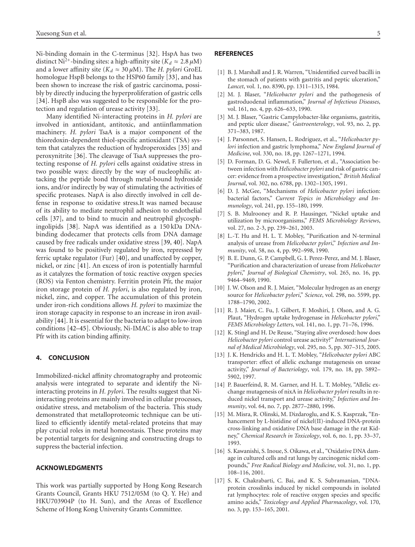Ni-binding domain in the C-terminus [\[32\]](#page-5-13). HspA has two distinct Ni<sup>2+</sup>-binding sites: a high-affinity site ( $K_d \approx 2.8 \mu M$ ) and a lower affinity site ( $K_d \approx 30 \,\mu$ M). The *H. pylori* GroEL homologue HspB belongs to the HSP60 family [\[33](#page-5-14)], and has been shown to increase the risk of gastric carcinoma, possibly by directly inducing the hyperproliferation of gastric cells [\[34](#page-5-15)]. HspB also was suggested to be responsible for the protection and regulation of urease activity [\[33](#page-5-14)].

Many identified Ni-interacting proteins in *H. pylori* are involved in antioxidant, antitoxic, and antiinflammation machinery. *H. pylori* TsaA is a major component of the thioredoxin-dependent thiol-specific antioxidant (TSA) system that catalyzes the reduction of hydroperoxides [\[35\]](#page-5-16) and peroxynitrite [\[36\]](#page-5-17). The cleavage of TsaA suppresses the protecting response of *H. pylori* cells against oxidative stress in two possible ways: directly by the way of nucleophilic attacking the peptide bond through metal-bound hydroxide ions, and/or indirectly by way of stimulating the activities of specific proteases. NapA is also directly involved in cell defense in response to oxidative stress.It was named because of its ability to mediate neutrophil adhesion to endothelial cells [\[37\]](#page-5-18), and to bind to mucin and neutrophil glycosphingolipids [\[38](#page-5-19)]. NapA was identified as a 150 kDa DNAbinding dodecamer that protects cells from DNA damage caused by free radicals under oxidative stress [\[39](#page-5-20), [40](#page-5-21)]. NapA was found to be positively regulated by iron, repressed by ferric uptake regulator (Fur) [\[40\]](#page-5-21), and unaffected by copper, nickel, or zinc [\[41\]](#page-5-22). An excess of iron is potentially harmful as it catalyzes the formation of toxic reactive oxygen species (ROS) via Fenton chemistry. Ferritin protein Pfr, the major iron storage protein of *H. pylori*, is also regulated by iron, nickel, zinc, and copper. The accumulation of this protein under iron-rich conditions allows *H. pylori* to maximize the iron storage capacity in response to an increase in iron availability [\[44](#page-5-23)]. It is essential for the bacteria to adapt to low-iron conditions [\[42](#page-5-24)[–45\]](#page-5-25). Obviously, Ni-IMAC is also able to trap Pfr with its cation binding affinity.

# **4. CONCLUSION**

Immobilized-nickel affinity chromatography and proteomic analysis were integrated to separate and identify the Niinteracting proteins in *H. pylori*. The results suggest that Niinteracting proteins are mainly involved in cellular processes, oxidative stress, and metabolism of the bacteria. This study demonstrated that metalloproteomic technique can be utilized to efficiently identify metal-related proteins that may play crucial roles in metal homeostasis. These proteins may be potential targets for designing and constructing drugs to suppress the bacterial infection.

# **ACKNOWLEDGMENTS**

This work was partially supported by Hong Kong Research Grants Council, Grants HKU 7512/05M (to Q. Y. He) and HKU703904P (to H. Sun), and the Areas of Excellence Scheme of Hong Kong University Grants Committee.

# <span id="page-4-0"></span>**REFERENCES**

- <span id="page-4-1"></span>[1] B. J. Marshall and J. R. Warren, "Unidentified curved bacilli in the stomach of patients with gastritis and peptic ulceration," *Lancet*, vol. 1, no. 8390, pp. 1311–1315, 1984.
- <span id="page-4-2"></span>[2] M. J. Blaser, "*Helicobacter pylori* and the pathogenesis of gastroduodenal inflammation," *Journal of Infectious Diseases*, vol. 161, no. 4, pp. 626–633, 1990.
- <span id="page-4-3"></span>[3] M. J. Blaser, "Gastric Campylobacter-like organisms, gastritis, and peptic ulcer disease," *Gastroenterology*, vol. 93, no. 2, pp. 371–383, 1987.
- <span id="page-4-4"></span>[4] J. Parsonnet, S. Hansen, L. Rodriguez, et al., "*Helicobacter pylori* infection and gastric lymphoma," *New England Journal of Medicine*, vol. 330, no. 18, pp. 1267–1271, 1994.
- <span id="page-4-5"></span>[5] D. Forman, D. G. Newel, F. Fullerton, et al., "Association between infection with *Helicobacter pylori* and risk of gastric cancer: evidence from a prospective investigation," *British Medical Journal*, vol. 302, no. 6788, pp. 1302–1305, 1991.
- <span id="page-4-6"></span>[6] D. J. McGee, "Mechanisms of *Helicobacter pylori* infection: bacterial factors," *Current Topics in Microbiology and Immunology*, vol. 241, pp. 155–180, 1999.
- <span id="page-4-7"></span>[7] S. B. Mulrooney and R. P. Hausinger, "Nickel uptake and utilization by microorganisms," *FEMS Microbiology Reviews*, vol. 27, no. 2-3, pp. 239–261, 2003.
- [8] L.-T. Hu and H. L. T. Mobley, "Purification and N-terminal analysis of urease from *Helicobacter pylori*," *Infection and Immunity*, vol. 58, no. 4, pp. 992–998, 1990.
- <span id="page-4-8"></span>[9] B. E. Dunn, G. P. Campbell, G. I. Perez-Perez, and M. J. Blaser, "Purification and characterization of urease from *Helicobacter pylori*," *Journal of Biological Chemistry*, vol. 265, no. 16, pp. 9464–9469, 1990.
- <span id="page-4-9"></span>[10] J. W. Olson and R. J. Maier, "Molecular hydrogen as an energy source for *Helicobacter pylori*," *Science*, vol. 298, no. 5599, pp. 1788–1790, 2002.
- <span id="page-4-10"></span>[11] R. J. Maier, C. Fu, J. Gilbert, F. Moshiri, J. Olson, and A. G. Plaut, "Hydrogen uptake hydrogenase in *Helicobacter pylori*," *FEMS Microbiology Letters*, vol. 141, no. 1, pp. 71–76, 1996.
- <span id="page-4-11"></span>[12] K. Stingl and H. De Reuse, "Staying alive overdosed: how does *Helicobacter pylori* control urease activity?" *International Journal of Medical Microbiology*, vol. 295, no. 5, pp. 307–315, 2005.
- <span id="page-4-12"></span>[13] J. K. Hendricks and H. L. T. Mobley, "*Helicobacter pylori* ABC transporter: effect of allelic exchange mutagenesis on urease activity," *Journal of Bacteriology*, vol. 179, no. 18, pp. 5892– 5902, 1997.
- <span id="page-4-13"></span>[14] P. Bauerfeind, R. M. Garner, and H. L. T. Mobley, "Allelic exchange mutagenesis of nixA in *Helicobacter pylori* results in reduced nickel transport and urease activity," *Infection and Immunity*, vol. 64, no. 7, pp. 2877–2880, 1996.
- <span id="page-4-14"></span>[15] M. Misra, R. Olinski, M. Dizdaroglu, and K. S. Kasprzak, "Enhancement by L-histidine of nickel(II)-induced DNA-protein cross-linking and oxidative DNA base damage in the rat Kidney," *Chemical Research in Toxicology*, vol. 6, no. 1, pp. 33–37, 1993.
- [16] S. Kawanishi, S. Inoue, S. Oikawa, et al., "Oxidative DNA damage in cultured cells and rat lungs by carcinogenic nickel compounds," *Free Radical Biology and Medicine*, vol. 31, no. 1, pp. 108–116, 2001.
- <span id="page-4-15"></span>[17] S. K. Chakrabarti, C. Bai, and K. S. Subramanian, "DNAprotein crosslinks induced by nickel compounds in isolated rat lymphocytes: role of reactive oxygen species and specific amino acids," *Toxicology and Applied Pharmacology*, vol. 170, no. 3, pp. 153–165, 2001.